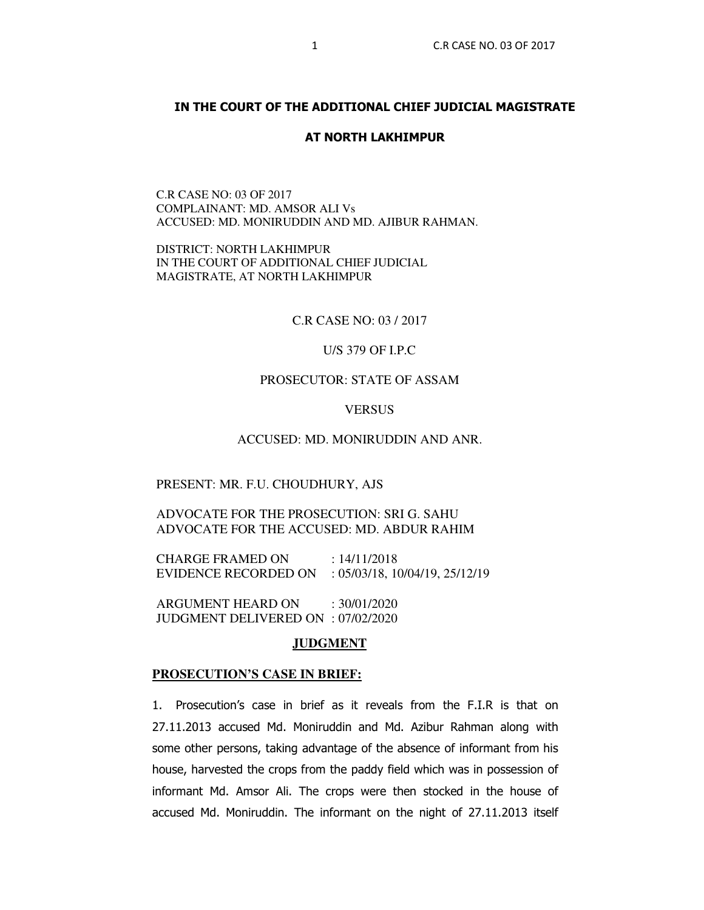# **IN THE COURT OF THE ADDITIONAL CHIEF JUDICIAL MAGISTRATE**

### **AT NORTH LAKHIMPUR**

C.R CASE NO: 03 OF 2017 COMPLAINANT: MD. AMSOR ALI Vs ACCUSED: MD. MONIRUDDIN AND MD. AJIBUR RAHMAN.

DISTRICT: NORTH LAKHIMPUR IN THE COURT OF ADDITIONAL CHIEF JUDICIAL MAGISTRATE, AT NORTH LAKHIMPUR

C.R CASE NO: 03 / 2017

U/S 379 OF I.P.C

# PROSECUTOR: STATE OF ASSAM

**VERSUS** 

ACCUSED: MD. MONIRUDDIN AND ANR.

#### PRESENT: MR. F.U. CHOUDHURY, AJS

ADVOCATE FOR THE PROSECUTION: SRI G. SAHU ADVOCATE FOR THE ACCUSED: MD. ABDUR RAHIM

CHARGE FRAMED ON : 14/11/2018 EVIDENCE RECORDED ON : 05/03/18, 10/04/19, 25/12/19

ARGUMENT HEARD ON : 30/01/2020 JUDGMENT DELIVERED ON : 07/02/2020

### **JUDGMENT**

#### **PROSECUTION'S CASE IN BRIEF:**

1. Prosecution's case in brief as it reveals from the F.I.R is that on 27.11.2013 accused Md. Moniruddin and Md. Azibur Rahman along with some other persons, taking advantage of the absence of informant from his house, harvested the crops from the paddy field which was in possession of informant Md. Amsor Ali. The crops were then stocked in the house of accused Md. Moniruddin. The informant on the night of 27.11.2013 itself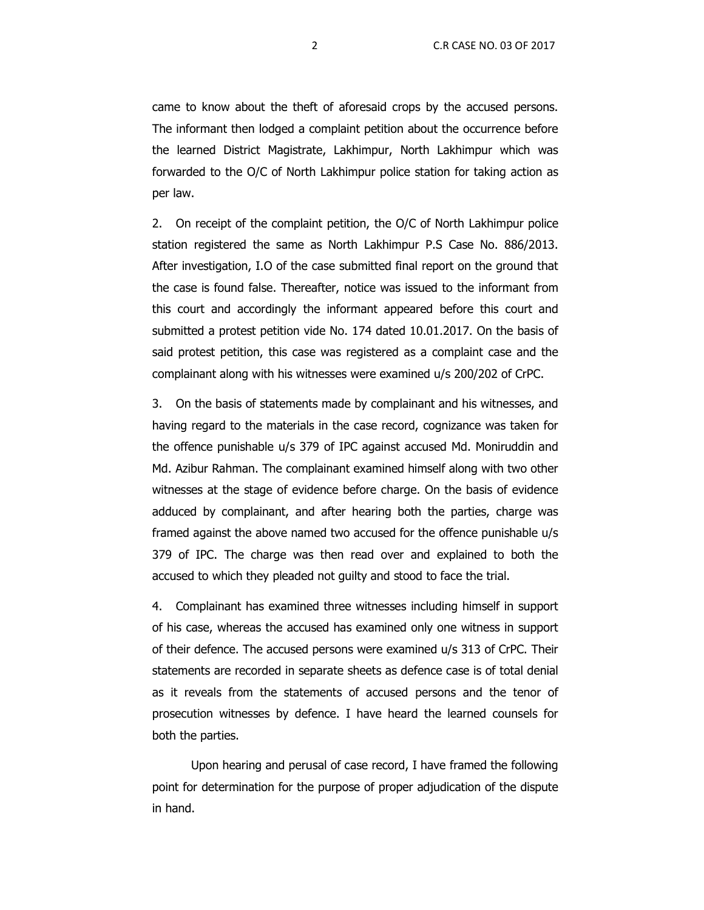came to know about the theft of aforesaid crops by the accused persons. The informant then lodged a complaint petition about the occurrence before the learned District Magistrate, Lakhimpur, North Lakhimpur which was forwarded to the O/C of North Lakhimpur police station for taking action as per law.

2. On receipt of the complaint petition, the O/C of North Lakhimpur police station registered the same as North Lakhimpur P.S Case No. 886/2013. After investigation, I.O of the case submitted final report on the ground that the case is found false. Thereafter, notice was issued to the informant from this court and accordingly the informant appeared before this court and submitted a protest petition vide No. 174 dated 10.01.2017. On the basis of said protest petition, this case was registered as a complaint case and the complainant along with his witnesses were examined u/s 200/202 of CrPC.

3. On the basis of statements made by complainant and his witnesses, and having regard to the materials in the case record, cognizance was taken for the offence punishable u/s 379 of IPC against accused Md. Moniruddin and Md. Azibur Rahman. The complainant examined himself along with two other witnesses at the stage of evidence before charge. On the basis of evidence adduced by complainant, and after hearing both the parties, charge was framed against the above named two accused for the offence punishable u/s 379 of IPC. The charge was then read over and explained to both the accused to which they pleaded not guilty and stood to face the trial.

4. Complainant has examined three witnesses including himself in support of his case, whereas the accused has examined only one witness in support of their defence. The accused persons were examined u/s 313 of CrPC. Their statements are recorded in separate sheets as defence case is of total denial as it reveals from the statements of accused persons and the tenor of prosecution witnesses by defence. I have heard the learned counsels for both the parties.

Upon hearing and perusal of case record, I have framed the following point for determination for the purpose of proper adjudication of the dispute in hand.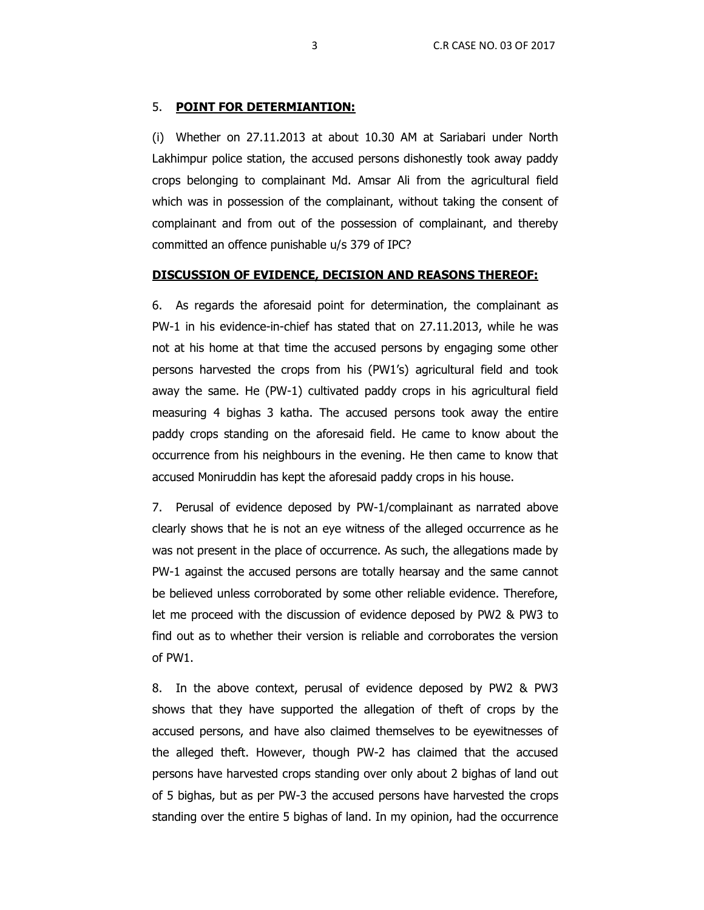### 5. **POINT FOR DETERMIANTION:**

(i) Whether on 27.11.2013 at about 10.30 AM at Sariabari under North Lakhimpur police station, the accused persons dishonestly took away paddy crops belonging to complainant Md. Amsar Ali from the agricultural field which was in possession of the complainant, without taking the consent of complainant and from out of the possession of complainant, and thereby committed an offence punishable u/s 379 of IPC?

### **DISCUSSION OF EVIDENCE, DECISION AND REASONS THEREOF:**

6. As regards the aforesaid point for determination, the complainant as PW-1 in his evidence-in-chief has stated that on 27.11.2013, while he was not at his home at that time the accused persons by engaging some other persons harvested the crops from his (PW1's) agricultural field and took away the same. He (PW-1) cultivated paddy crops in his agricultural field measuring 4 bighas 3 katha. The accused persons took away the entire paddy crops standing on the aforesaid field. He came to know about the occurrence from his neighbours in the evening. He then came to know that accused Moniruddin has kept the aforesaid paddy crops in his house.

7. Perusal of evidence deposed by PW-1/complainant as narrated above clearly shows that he is not an eye witness of the alleged occurrence as he was not present in the place of occurrence. As such, the allegations made by PW-1 against the accused persons are totally hearsay and the same cannot be believed unless corroborated by some other reliable evidence. Therefore, let me proceed with the discussion of evidence deposed by PW2 & PW3 to find out as to whether their version is reliable and corroborates the version of PW1.

8. In the above context, perusal of evidence deposed by PW2 & PW3 shows that they have supported the allegation of theft of crops by the accused persons, and have also claimed themselves to be eyewitnesses of the alleged theft. However, though PW-2 has claimed that the accused persons have harvested crops standing over only about 2 bighas of land out of 5 bighas, but as per PW-3 the accused persons have harvested the crops standing over the entire 5 bighas of land. In my opinion, had the occurrence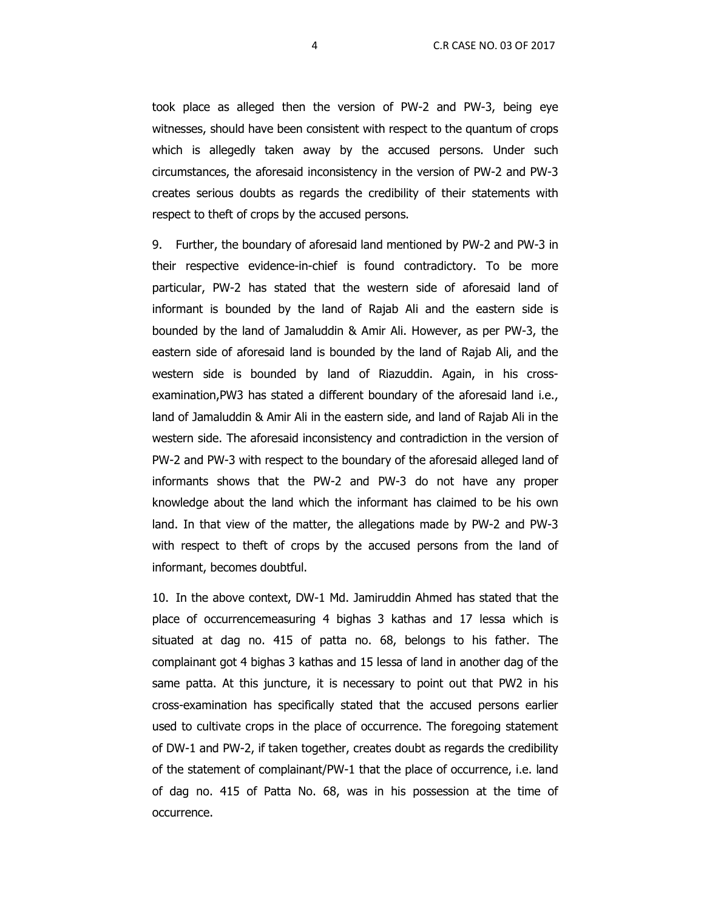took place as alleged then the version of PW-2 and PW-3, being eye witnesses, should have been consistent with respect to the quantum of crops which is allegedly taken away by the accused persons. Under such circumstances, the aforesaid inconsistency in the version of PW-2 and PW-3 creates serious doubts as regards the credibility of their statements with respect to theft of crops by the accused persons.

9. Further, the boundary of aforesaid land mentioned by PW-2 and PW-3 in their respective evidence-in-chief is found contradictory. To be more particular, PW-2 has stated that the western side of aforesaid land of informant is bounded by the land of Rajab Ali and the eastern side is bounded by the land of Jamaluddin & Amir Ali. However, as per PW-3, the eastern side of aforesaid land is bounded by the land of Rajab Ali, and the western side is bounded by land of Riazuddin. Again, in his crossexamination,PW3 has stated a different boundary of the aforesaid land i.e., land of Jamaluddin & Amir Ali in the eastern side, and land of Rajab Ali in the western side. The aforesaid inconsistency and contradiction in the version of PW-2 and PW-3 with respect to the boundary of the aforesaid alleged land of informants shows that the PW-2 and PW-3 do not have any proper knowledge about the land which the informant has claimed to be his own land. In that view of the matter, the allegations made by PW-2 and PW-3 with respect to theft of crops by the accused persons from the land of informant, becomes doubtful.

10. In the above context, DW-1 Md. Jamiruddin Ahmed has stated that the place of occurrencemeasuring 4 bighas 3 kathas and 17 lessa which is situated at dag no. 415 of patta no. 68, belongs to his father. The complainant got 4 bighas 3 kathas and 15 lessa of land in another dag of the same patta. At this juncture, it is necessary to point out that PW2 in his cross-examination has specifically stated that the accused persons earlier used to cultivate crops in the place of occurrence. The foregoing statement of DW-1 and PW-2, if taken together, creates doubt as regards the credibility of the statement of complainant/PW-1 that the place of occurrence, i.e. land of dag no. 415 of Patta No. 68, was in his possession at the time of occurrence.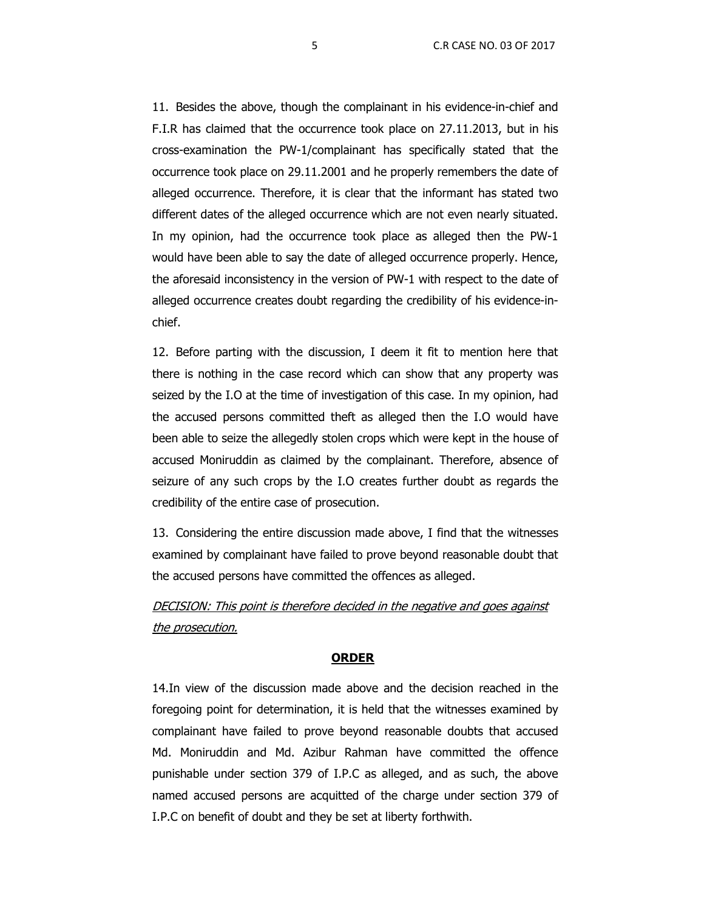11. Besides the above, though the complainant in his evidence-in-chief and F.I.R has claimed that the occurrence took place on 27.11.2013, but in his cross-examination the PW-1/complainant has specifically stated that the occurrence took place on 29.11.2001 and he properly remembers the date of alleged occurrence. Therefore, it is clear that the informant has stated two different dates of the alleged occurrence which are not even nearly situated. In my opinion, had the occurrence took place as alleged then the PW-1 would have been able to say the date of alleged occurrence properly. Hence, the aforesaid inconsistency in the version of PW-1 with respect to the date of alleged occurrence creates doubt regarding the credibility of his evidence-inchief.

12. Before parting with the discussion, I deem it fit to mention here that there is nothing in the case record which can show that any property was seized by the I.O at the time of investigation of this case. In my opinion, had the accused persons committed theft as alleged then the I.O would have been able to seize the allegedly stolen crops which were kept in the house of accused Moniruddin as claimed by the complainant. Therefore, absence of seizure of any such crops by the I.O creates further doubt as regards the credibility of the entire case of prosecution.

13. Considering the entire discussion made above, I find that the witnesses examined by complainant have failed to prove beyond reasonable doubt that the accused persons have committed the offences as alleged.

DECISION: This point is therefore decided in the negative and goes against the prosecution.

### **ORDER**

14.In view of the discussion made above and the decision reached in the foregoing point for determination, it is held that the witnesses examined by complainant have failed to prove beyond reasonable doubts that accused Md. Moniruddin and Md. Azibur Rahman have committed the offence punishable under section 379 of I.P.C as alleged, and as such, the above named accused persons are acquitted of the charge under section 379 of I.P.C on benefit of doubt and they be set at liberty forthwith.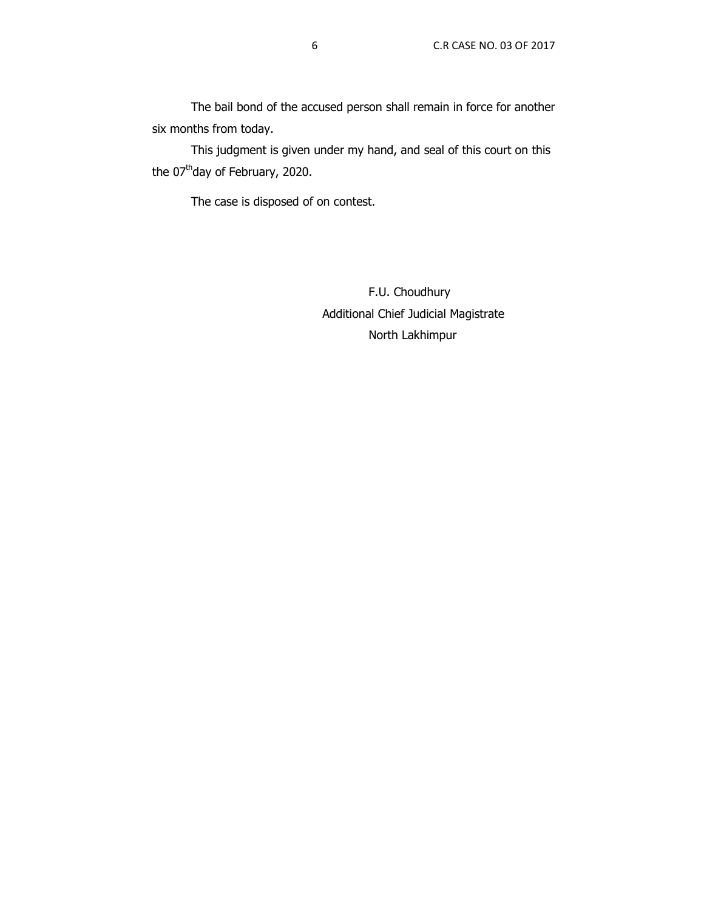The bail bond of the accused person shall remain in force for another six months from today.

This judgment is given under my hand, and seal of this court on this the 07<sup>th</sup>day of February, 2020.

The case is disposed of on contest.

 F.U. Choudhury Additional Chief Judicial Magistrate North Lakhimpur